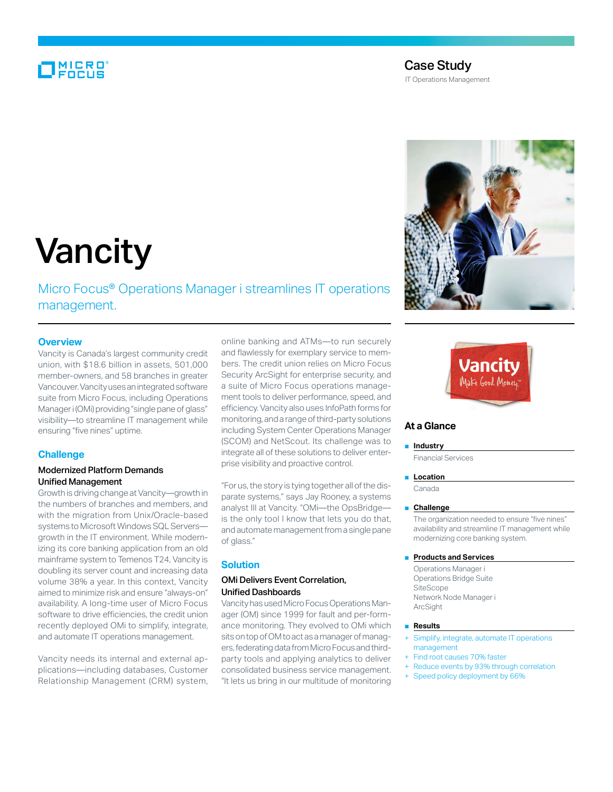# MICRO<br>FOCUS

# Case Study

IT Operations Management



# Vancity

Micro Focus® Operations Manager i streamlines IT operations management.

## **Overview**

Vancity is Canada's largest community credit union, with \$18.6 billion in assets, 501,000 member-owners, and 58 branches in greater Vancouver. Vancity uses an integrated software suite from Micro Focus, including Operations Manager i (OMi) providing "single pane of glass" visibility—to streamline IT management while ensuring "five nines" uptime.

### **Challenge**

## Modernized Platform Demands Unified Management

Growth is driving change at Vancity—growth in the numbers of branches and members, and with the migration from Unix/Oracle-based systems to Microsoft Windows SQL Servers growth in the IT environment. While modernizing its core banking application from an old mainframe system to Temenos T24, Vancity is doubling its server count and increasing data volume 38% a year. In this context, Vancity aimed to minimize risk and ensure "always-on" availability. A long-time user of Micro Focus software to drive efficiencies, the credit union recently deployed OMi to simplify, integrate, and automate IT operations management.

Vancity needs its internal and external applications—including databases, Customer Relationship Management (CRM) system, online banking and ATMs—to run securely and flawlessly for exemplary service to members. The credit union relies on Micro Focus Security ArcSight for enterprise security, and a suite of Micro Focus operations management tools to deliver performance, speed, and efficiency. Vancity also uses InfoPath forms for monitoring, and a range of third-party solutions including System Center Operations Manager (SCOM) and NetScout. Its challenge was to integrate all of these solutions to deliver enterprise visibility and proactive control.

"For us, the story is tying together all of the disparate systems," says Jay Rooney, a systems analyst III at Vancity. "OMi—the OpsBridge is the only tool I know that lets you do that, and automate management from a single pane of glass."

## **Solution**

# OMi Delivers Event Correlation, Unified Dashboards

Vancity has used Micro Focus Operations Manager (OM) since 1999 for fault and per-formance monitoring. They evolved to OMi which sits on top of OM to act as a manager of managers, federating data from Micro Focus and thirdparty tools and applying analytics to deliver consolidated business service management. "It lets us bring in our multitude of monitoring



# **At a Glance**

#### ■ **Industry**

Financial Services

#### ■ **Location**

Canada

#### ■ **Challenge**

The organization needed to ensure "five nines" availability and streamline IT management while modernizing core banking system.

#### ■ **Products and Services**

Operations Manager i Operations Bridge Suite SiteScope Network Node Manager i ArcSight

#### ■ **Results**

- Simplify, integrate, automate IT operations management
- Find root causes 70% faster
- + Reduce events by 93% through correlation
- Speed policy deployment by 66%